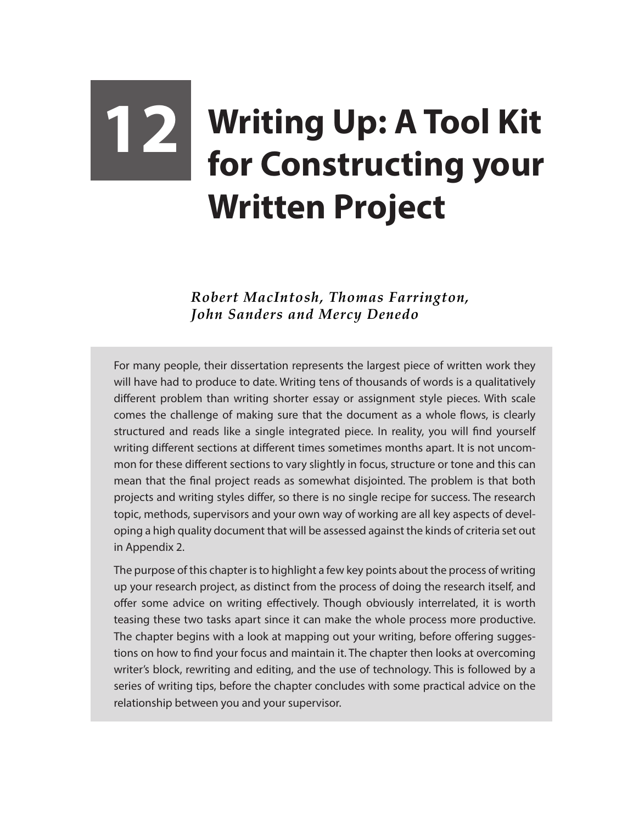## **12 Writing Up: A Tool Kit for Constructing your Written Project**

*Robert MacIntosh, Thomas Farrington, John Sanders and Mercy Denedo*

For many people, their dissertation represents the largest piece of written work they will have had to produce to date. Writing tens of thousands of words is a qualitatively different problem than writing shorter essay or assignment style pieces. With scale comes the challenge of making sure that the document as a whole flows, is clearly structured and reads like a single integrated piece. In reality, you will find yourself writing different sections at different times sometimes months apart. It is not uncommon for these different sections to vary slightly in focus, structure or tone and this can mean that the final project reads as somewhat disjointed. The problem is that both projects and writing styles differ, so there is no single recipe for success. The research topic, methods, supervisors and your own way of working are all key aspects of developing a high quality document that will be assessed against the kinds of criteria set out in Appendix 2.

The purpose of this chapter is to highlight a few key points about the process of writing up your research project, as distinct from the process of doing the research itself, and offer some advice on writing effectively. Though obviously interrelated, it is worth teasing these two tasks apart since it can make the whole process more productive. The chapter begins with a look at mapping out your writing, before offering suggestions on how to find your focus and maintain it. The chapter then looks at overcoming writer's block, rewriting and editing, and the use of technology. This is followed by a series of writing tips, before the chapter concludes with some practical advice on the relationship between you and your supervisor.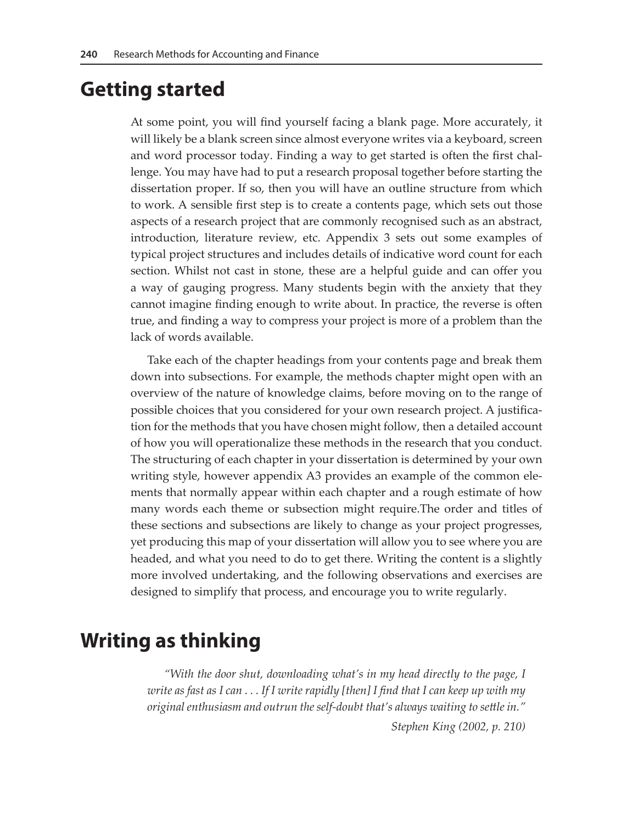## **Getting started**

At some point, you will find yourself facing a blank page. More accurately, it will likely be a blank screen since almost everyone writes via a keyboard, screen and word processor today. Finding a way to get started is often the first challenge. You may have had to put a research proposal together before starting the dissertation proper. If so, then you will have an outline structure from which to work. A sensible first step is to create a contents page, which sets out those aspects of a research project that are commonly recognised such as an abstract, introduction, literature review, etc. Appendix 3 sets out some examples of typical project structures and includes details of indicative word count for each section. Whilst not cast in stone, these are a helpful guide and can offer you a way of gauging progress. Many students begin with the anxiety that they cannot imagine finding enough to write about. In practice, the reverse is often true, and finding a way to compress your project is more of a problem than the lack of words available.

Take each of the chapter headings from your contents page and break them down into subsections. For example, the methods chapter might open with an overview of the nature of knowledge claims, before moving on to the range of possible choices that you considered for your own research project. A justification for the methods that you have chosen might follow, then a detailed account of how you will operationalize these methods in the research that you conduct. The structuring of each chapter in your dissertation is determined by your own writing style, however appendix A3 provides an example of the common elements that normally appear within each chapter and a rough estimate of how many words each theme or subsection might require.The order and titles of these sections and subsections are likely to change as your project progresses, yet producing this map of your dissertation will allow you to see where you are headed, and what you need to do to get there. Writing the content is a slightly more involved undertaking, and the following observations and exercises are designed to simplify that process, and encourage you to write regularly.

## **Writing as thinking**

*"With the door shut, downloading what's in my head directly to the page, I write as fast as I can . . . If I write rapidly [then] I find that I can keep up with my original enthusiasm and outrun the self-doubt that's always waiting to settle in."* 

*Stephen King (2002, p. 210)*